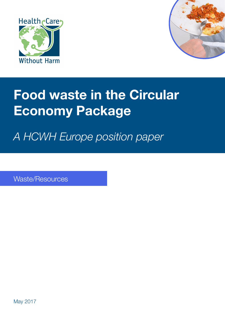



# **Food waste in the Circular Economy Package**

*A HCWH Europe position paper*

Waste/Resources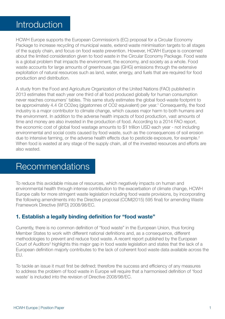### Introduction

HCWH Europe supports the European Commission's (EC) proposal for a Circular Economy Package to increase recycling of municipal waste, extend waste minimisation targets to all stages of the supply chain, and focus on food waste prevention. However, HCWH Europe is concerned about the limited consideration given to food waste in the Circular Economy Package. Food waste is a global problem that impacts the environment, the economy, and society as a whole. Food waste accounts for large amounts of greenhouse gas (GHG) emissions through the extensive exploitation of natural resources such as land, water, energy, and fuels that are required for food production and distribution.

A study from the Food and Agriculture Organization of the United Nations (FAO) published in 2013 estimates that each year one third of all food produced globally for human consumption never reaches consumers' tables. This same study estimates the global food-waste footprint to be approximately 4.4 Gt CO2eq (gigatonnes of CO2 equivalent) per year.<sup>1</sup> Consequently, the food industry is a major contributor to climate change, which causes major harm to both humans and the environment. In addition to the adverse health impacts of food production, vast amounts of time and money are also invested in the production of food. According to a 2014 FAO report, the economic cost of global food wastage amounts to \$1 trillion USD each year - not including environmental and social costs caused by food waste, such as the consequences of soil erosion due to intensive farming, or the adverse health effects due to pesticide exposure, for example.<sup>2</sup> When food is wasted at any stage of the supply chain, all of the invested resources and efforts are also wasted.

### Recommendations

To reduce this avoidable misuse of resources, which negatively impacts on human and environmental health through intense contribution to the exacerbation of climate change, HCWH Europe calls for more stringent waste legislation including food waste provisions, by incorporating the following amendments into the Directive proposal (COM(2015) 595 final) for amending Waste Framework Directive (WFD) 2008/98/EC.

#### **1. Establish a legally binding definition for "food waste"**

Currently, there is no common definition of "food waste" in the European Union, thus forcing Member States to work with different national definitions and, as a consequence, different methodologies to prevent and reduce food waste. A recent report published by the European Court of Auditors<sup>3</sup> highlights this major gap in food waste legislation and states that the lack of a European definition majorly contributes to the lack of coherent food waste data available across the EU.

To tackle an issue it must first be defined; therefore the success and efficiency of any measures to address the problem of food waste in Europe will require that a harmonised definition of 'food waste' is included into the revision of Directive 2008/98/EC.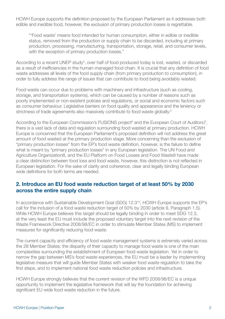HCWH Europe supports the definition proposed by the European Parliament as it addresses both edible and inedible food, however, the exclusion of primary production losses is regrettable.

"'Food waste' means food intended for human consumption, either in edible or inedible status, removed from the production or supply chain to be discarded, including at primary production, processing, manufacturing, transportation, storage, retail, and consumer levels, with the exception of primary production losses."

According to a recent UNEP study<sup>4</sup>, over half of food produced today is lost, wasted, or discarded as a result of inefficiencies in the human-managed food chain. It is crucial that any definition of food waste addresses all levels of the food supply chain (from primary production to consumption), in order to fully address the range of issues that can contribute to food being avoidably wasted.

Food waste can occur due to problems with machinery and infrastructure (such as cooling, storage, and transportation systems), which can be caused by a number of reasons such as poorly implemented or non-existent policies and regulations, or social and economic factors such as consumer behaviour. Legislative barriers on food quality and appearance and the leniency or strictness of trade agreements also massively contribute to food waste globally.<sup>5</sup>

According to the European Commission's FUSIONS project<sup>6</sup> and the European Court of Auditors7, there is a vast lack of data and regulation surrounding food wasted at primary production. HCWH Europe is concerned that the European Parliament's proposed definition will not address the great amount of food wasted at the primary production stage. More concerning than the exclusion of "primary production losses" from the EP's food waste definition, however, is the failure to define what is meant by "primary production losses" in any European legislation. The UN Food and Agriculture Organization8, and the EU Platform on Food Losses and Food Waste9 have made a clear distinction between food loss and food waste, however, this distinction is not reflected in European legislation. For the sake of clarity and coherence, clear and legally binding European wide definitions for both terms are needed.

#### **2. Introduce an EU food waste reduction target of at least 50% by 2030 across the entire supply chain**

In accordance with Sustainable Development Goal (SDG) 12.3<sup>10</sup>, HCWH Europe supports the EP's call for the inclusion of a food waste reduction target of 50% by 2030 (article 9, Paragraph 1.5). While HCWH Europe believes this target should be legally binding in order to meet SDG 12.3, at the very least the EU must include the proposed voluntary target into the next revision of the Waste Framework Directive 2008/98/EC in order to stimulate Member States (MS) to implement measures for significantly reducing food waste.

The current capacity and efficiency of food waste management systems is extremely varied across the 28 Member States; the disparity of their capacity to manage food waste is one of the main complexities surrounding the establishment of European food waste legislation. Yet in order to narrow the gap between MS's food waste experiences, the EU must be a leader by implementing legislative measure that will guide Member States with weaker food waste regulation to take the first steps, and to implement national food waste reduction policies and infrastructure.

HCWH Europe strongly believes that the current revision of the WFD 2008/98/EC is a unique opportunity to implement the legislative framework that will lay the foundation for achieving significant EU wide food waste reduction in the future.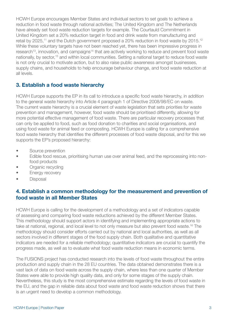HCWH Europe encourages Member States and individual sectors to set goals to achieve a reduction in food waste through national activities; The United Kingdom and The Netherlands have already set food waste reduction targets for example. The Courtauld Commitment in United Kingdom set a 20% reduction target in food and drink waste from manufacturing and retail by 2025,<sup>11</sup> and the Dutch government proposed a 20% reduction in food waste by 2015.<sup>12</sup> While these voluntary targets have not been reached yet, there has been impressive progress in research<sup>13</sup>, innovation, and campaigns<sup>14</sup> that are actively working to reduce and prevent food waste nationally, by sector,<sup>15</sup> and within local communities. Setting a national target to reduce food waste is not only crucial to motivate action, but to also raise public awareness amongst businesses, supply chains, and households to help encourage behaviour change, and food waste reduction at all levels.

#### **3. Establish a food waste hierarchy**

HCWH Europe supports the EP in its call to introduce a specific food waste hierarchy, in addition to the general waste hierarchy into Article 4 paragraph 1 of Directive 2008/98/EC on waste. The current waste hierarchy is a crucial element of waste legislation that sets priorities for waste prevention and management, however, food waste should be prioritised differently, allowing for more potential effective management of food waste. There are particular recovery processes that can only be applied to food, such as food donation to charities and social organisations, and using food waste for animal feed or composting. HCWH Europe is calling for a comprehensive food waste hierarchy that identifies the different processes of food waste disposal, and for this we supports the EP's proposed hierarchy:

- Source prevention
- Edible food rescue, prioritising human use over animal feed, and the reprocessing into nonfood products
- Organic recycling
- **Energy recovery**
- Disposal

#### **4. Establish a common methodology for the measurement and prevention of food waste in all Member States**

HCWH Europe is calling for the development of a methodology and a set of indicators capable of assessing and comparing food waste reductions achieved by the different Member States. This methodology should support actors in identifying and implementing appropriate actions to take at national, regional, and local level to not only measure but also prevent food waste.16 The methodology should consider efforts carried out by national and local authorities, as well as all sectors involved in different stages of the food supply chain. Both qualitative and quantitative indicators are needed for a reliable methodology; quantitative indicators are crucial to quantify the progress made, as well as to evaluate what food waste reduction means in economic terms.

The FUSIONS project has conducted research into the levels of food waste throughout the entire production and supply chain in the 28 EU countries. The data obtained demonstrates there is a vast lack of data on food waste across the supply chain, where less than one quarter of Member States were able to provide high quality data, and only for some stages of the supply chain. Nevertheless, this study is the most comprehensive estimate regarding the levels of food waste in the EU, and the gap in reliable data about food waste and food waste reduction shows that there is an urgent need to develop a common methodology.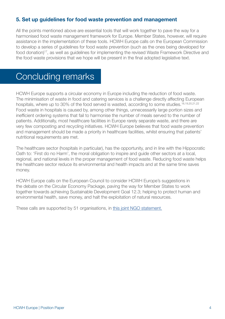#### **5. Set up guidelines for food waste prevention and management**

All the points mentioned above are essential tools that will work together to pave the way for a harmonised food waste management framework for Europe. Member States, however, will require assistance in the implementation of these tools. HCWH Europe calls on the European Commission to develop a series of guidelines for food waste prevention (such as the ones being developed for food donation)<sup>17</sup>, as well as quidelines for implementing the revised Waste Framework Directive and the food waste provisions that we hope will be present in the final adopted legislative text.

### Concluding remarks

HCWH Europe supports a circular economy in Europe including the reduction of food waste. The minimisation of waste in food and catering services is a challenge directly affecting European hospitals, where up to 30% of the food served is wasted, according to some studies.<sup>18,19,20,21,22</sup> Food waste in hospitals is caused by, among other things, unnecessarily large portion sizes and inefficient ordering systems that fail to harmonise the number of meals served to the number of patients. Additionally, most healthcare facilities in Europe rarely separate waste, and there are very few composting and recycling initiatives. HCWH Europe believes that food waste prevention and management should be made a priority in healthcare facilities, whilst ensuring that patients' nutritional requirements are met.

The healthcare sector (hospitals in particular), has the opportunity, and in line with the Hippocratic Oath to: 'First do no Harm', the moral obligation to inspire and guide other sectors at a local, regional, and national levels in the proper management of food waste. Reducing food waste helps the healthcare sector reduce its environmental and health impacts and at the same time saves money.

HCWH Europe calls on the European Council to consider HCWH Europe's suggestions in the debate on the Circular Economy Package, paving the way for Member States to work together towards achieving Sustainable Development Goal 12.3; helping to protect human and environmental health, save money, and halt the exploitation of natural resources.

These calls are supported by 51 organisations, in [this joint NGO statement.](http://bit.ly/2pAoBhn)